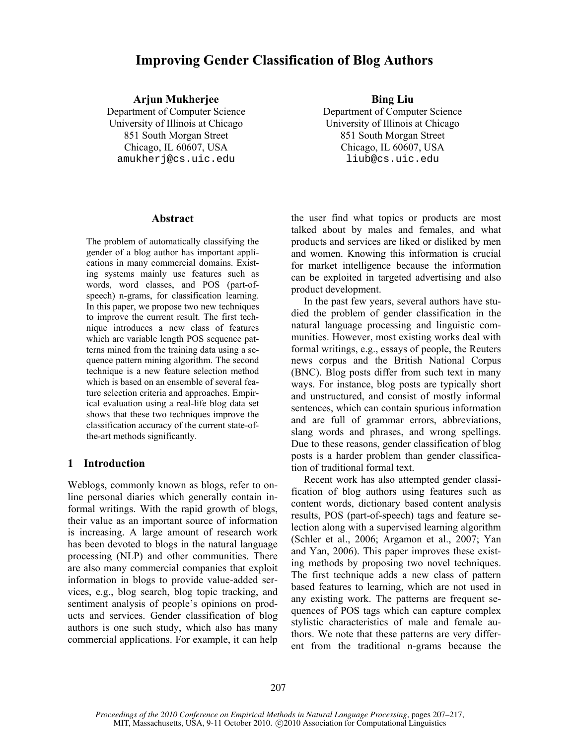# **Improving Gender Classification of Blog Authors**

### Arjun Mukherjee Bing Liu

Department of Computer Science University of Illinois at Chicago 851 South Morgan Street Chicago, IL 60607, USA amukherj@cs.uic.edu

#### **Abstract**

The problem of automatically classifying the gender of a blog author has important applications in many commercial domains. Existing systems mainly use features such as words, word classes, and POS (part-ofspeech) n-grams, for classification learning. In this paper, we propose two new techniques to improve the current result. The first technique introduces a new class of features which are variable length POS sequence patterns mined from the training data using a sequence pattern mining algorithm. The second technique is a new feature selection method which is based on an ensemble of several feature selection criteria and approaches. Empirical evaluation using a real-life blog data set shows that these two techniques improve the classification accuracy of the current state-ofthe-art methods significantly.

### **1 Introduction**

Weblogs, commonly known as blogs, refer to online personal diaries which generally contain informal writings. With the rapid growth of blogs, their value as an important source of information is increasing. A large amount of research work has been devoted to blogs in the natural language processing (NLP) and other communities. There are also many commercial companies that exploit information in blogs to provide value-added services, e.g., blog search, blog topic tracking, and sentiment analysis of people's opinions on products and services. Gender classification of blog authors is one such study, which also has many commercial applications. For example, it can help

Department of Computer Science University of Illinois at Chicago 851 South Morgan Street Chicago, IL 60607, USA liub@cs.uic.edu

the user find what topics or products are most talked about by males and females, and what products and services are liked or disliked by men and women. Knowing this information is crucial for market intelligence because the information can be exploited in targeted advertising and also product development.

In the past few years, several authors have studied the problem of gender classification in the natural language processing and linguistic communities. However, most existing works deal with formal writings, e.g., essays of people, the Reuters news corpus and the British National Corpus (BNC). Blog posts differ from such text in many ways. For instance, blog posts are typically short and unstructured, and consist of mostly informal sentences, which can contain spurious information and are full of grammar errors, abbreviations, slang words and phrases, and wrong spellings. Due to these reasons, gender classification of blog posts is a harder problem than gender classification of traditional formal text.

Recent work has also attempted gender classification of blog authors using features such as content words, dictionary based content analysis results, POS (part-of-speech) tags and feature selection along with a supervised learning algorithm (Schler et al., 2006; Argamon et al., 2007; Yan and Yan, 2006). This paper improves these existing methods by proposing two novel techniques. The first technique adds a new class of pattern based features to learning, which are not used in any existing work. The patterns are frequent sequences of POS tags which can capture complex stylistic characteristics of male and female authors. We note that these patterns are very different from the traditional n-grams because the

*Proceedings of the 2010 Conference on Empirical Methods in Natural Language Processing*, pages 207–217, MIT, Massachusetts, USA, 9-11 October 2010. ©2010 Association for Computational Linguistics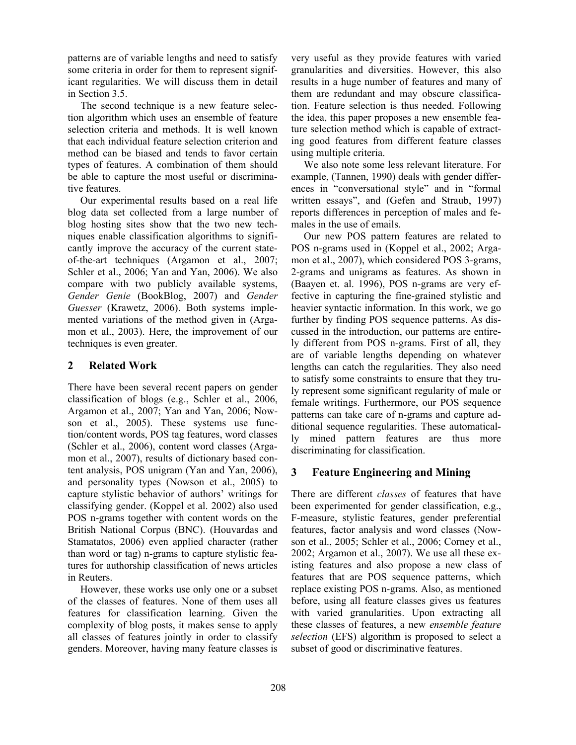patterns are of variable lengths and need to satisfy some criteria in order for them to represent significant regularities. We will discuss them in detail in Section 3.5.

The second technique is a new feature selection algorithm which uses an ensemble of feature selection criteria and methods. It is well known that each individual feature selection criterion and method can be biased and tends to favor certain types of features. A combination of them should be able to capture the most useful or discriminative features.

Our experimental results based on a real life blog data set collected from a large number of blog hosting sites show that the two new techniques enable classification algorithms to significantly improve the accuracy of the current stateof-the-art techniques (Argamon et al., 2007; Schler et al., 2006; Yan and Yan, 2006). We also compare with two publicly available systems, *Gender Genie* (BookBlog, 2007) and *Gender Guesser* (Krawetz, 2006). Both systems implemented variations of the method given in (Argamon et al., 2003). Here, the improvement of our techniques is even greater.

## **2 Related Work**

There have been several recent papers on gender classification of blogs (e.g., Schler et al., 2006, Argamon et al., 2007; Yan and Yan, 2006; Nowson et al., 2005). These systems use function/content words, POS tag features, word classes (Schler et al., 2006), content word classes (Argamon et al., 2007), results of dictionary based content analysis, POS unigram (Yan and Yan, 2006), and personality types (Nowson et al., 2005) to capture stylistic behavior of authors' writings for classifying gender. (Koppel et al. 2002) also used POS n-grams together with content words on the British National Corpus (BNC). (Houvardas and Stamatatos, 2006) even applied character (rather than word or tag) n-grams to capture stylistic features for authorship classification of news articles in Reuters.

However, these works use only one or a subset of the classes of features. None of them uses all features for classification learning. Given the complexity of blog posts, it makes sense to apply all classes of features jointly in order to classify genders. Moreover, having many feature classes is very useful as they provide features with varied granularities and diversities. However, this also results in a huge number of features and many of them are redundant and may obscure classification. Feature selection is thus needed. Following the idea, this paper proposes a new ensemble feature selection method which is capable of extracting good features from different feature classes using multiple criteria.

We also note some less relevant literature. For example, (Tannen, 1990) deals with gender differences in "conversational style" and in "formal written essays", and (Gefen and Straub, 1997) reports differences in perception of males and females in the use of emails.

Our new POS pattern features are related to POS n-grams used in (Koppel et al., 2002; Argamon et al., 2007), which considered POS 3-grams, 2-grams and unigrams as features. As shown in (Baayen et. al. 1996), POS n-grams are very effective in capturing the fine-grained stylistic and heavier syntactic information. In this work, we go further by finding POS sequence patterns. As discussed in the introduction, our patterns are entirely different from POS n-grams. First of all, they are of variable lengths depending on whatever lengths can catch the regularities. They also need to satisfy some constraints to ensure that they truly represent some significant regularity of male or female writings. Furthermore, our POS sequence patterns can take care of n-grams and capture additional sequence regularities. These automatically mined pattern features are thus more discriminating for classification.

# **3 Feature Engineering and Mining**

There are different *classes* of features that have been experimented for gender classification, e.g., F-measure, stylistic features, gender preferential features, factor analysis and word classes (Nowson et al., 2005; Schler et al., 2006; Corney et al., 2002; Argamon et al., 2007). We use all these existing features and also propose a new class of features that are POS sequence patterns, which replace existing POS n-grams. Also, as mentioned before, using all feature classes gives us features with varied granularities. Upon extracting all these classes of features, a new *ensemble feature selection* (EFS) algorithm is proposed to select a subset of good or discriminative features.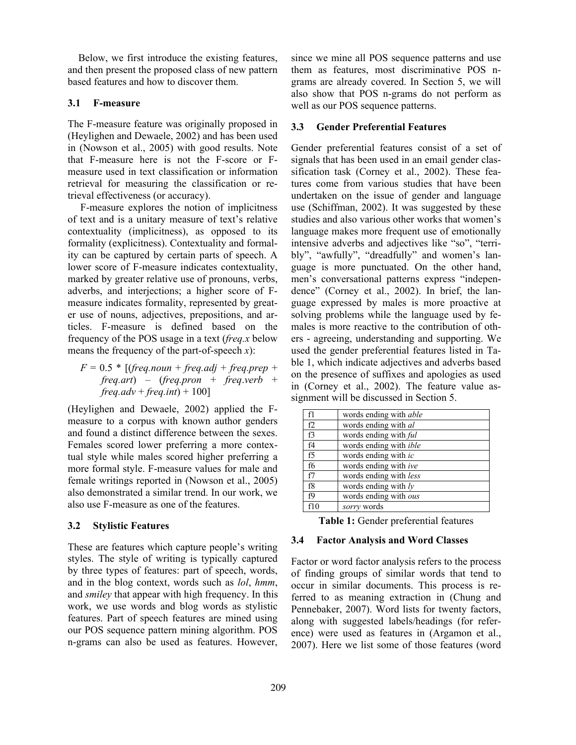Below, we first introduce the existing features, and then present the proposed class of new pattern based features and how to discover them.

# **3.1 F-measure**

The F-measure feature was originally proposed in (Heylighen and Dewaele, 2002) and has been used in (Nowson et al., 2005) with good results. Note that F-measure here is not the F-score or Fmeasure used in text classification or information retrieval for measuring the classification or retrieval effectiveness (or accuracy).

F-measure explores the notion of implicitness of text and is a unitary measure of text's relative contextuality (implicitness), as opposed to its formality (explicitness). Contextuality and formality can be captured by certain parts of speech. A lower score of F-measure indicates contextuality, marked by greater relative use of pronouns, verbs, adverbs, and interjections; a higher score of Fmeasure indicates formality, represented by greater use of nouns, adjectives, prepositions, and articles. F-measure is defined based on the frequency of the POS usage in a text (*freq.x* below means the frequency of the part-of-speech *x*):

 $F = 0.5 * [(freq.noun + freq.adj + freq.prep +$ *freq.art*) – (*freq.pron* + *freq*.*verb* + *freq.adv* + *freq.int*) + 100]

(Heylighen and Dewaele, 2002) applied the Fmeasure to a corpus with known author genders and found a distinct difference between the sexes. Females scored lower preferring a more contextual style while males scored higher preferring a more formal style. F-measure values for male and female writings reported in (Nowson et al., 2005) also demonstrated a similar trend. In our work, we also use F-measure as one of the features.

# **3.2 Stylistic Features**

These are features which capture people's writing styles. The style of writing is typically captured by three types of features: part of speech, words, and in the blog context, words such as *lol*, *hmm*, and *smiley* that appear with high frequency. In this work, we use words and blog words as stylistic features. Part of speech features are mined using our POS sequence pattern mining algorithm. POS n-grams can also be used as features. However, since we mine all POS sequence patterns and use them as features, most discriminative POS ngrams are already covered. In Section 5, we will also show that POS n-grams do not perform as well as our POS sequence patterns.

# **3.3 Gender Preferential Features**

Gender preferential features consist of a set of signals that has been used in an email gender classification task (Corney et al., 2002). These features come from various studies that have been undertaken on the issue of gender and language use (Schiffman, 2002). It was suggested by these studies and also various other works that women's language makes more frequent use of emotionally intensive adverbs and adjectives like "so", "terribly", "awfully", "dreadfully" and women's language is more punctuated. On the other hand, men's conversational patterns express "independence" (Corney et al., 2002). In brief, the language expressed by males is more proactive at solving problems while the language used by females is more reactive to the contribution of others - agreeing, understanding and supporting. We used the gender preferential features listed in Table 1, which indicate adjectives and adverbs based on the presence of suffixes and apologies as used in (Corney et al., 2002). The feature value assignment will be discussed in Section 5.

| f1 | words ending with <i>able</i>  |
|----|--------------------------------|
| f2 | words ending with al           |
| f3 | words ending with <i>ful</i>   |
| f4 | words ending with <i>ible</i>  |
| f5 | words ending with ic           |
| f6 | words ending with ive          |
| f7 | words ending with less         |
| f8 | words ending with $l$ <i>y</i> |
| f9 | words ending with ous          |
|    | sorry words                    |

**Table 1:** Gender preferential features

# **3.4 Factor Analysis and Word Classes**

Factor or word factor analysis refers to the process of finding groups of similar words that tend to occur in similar documents. This process is referred to as meaning extraction in (Chung and Pennebaker, 2007). Word lists for twenty factors, along with suggested labels/headings (for reference) were used as features in (Argamon et al., 2007). Here we list some of those features (word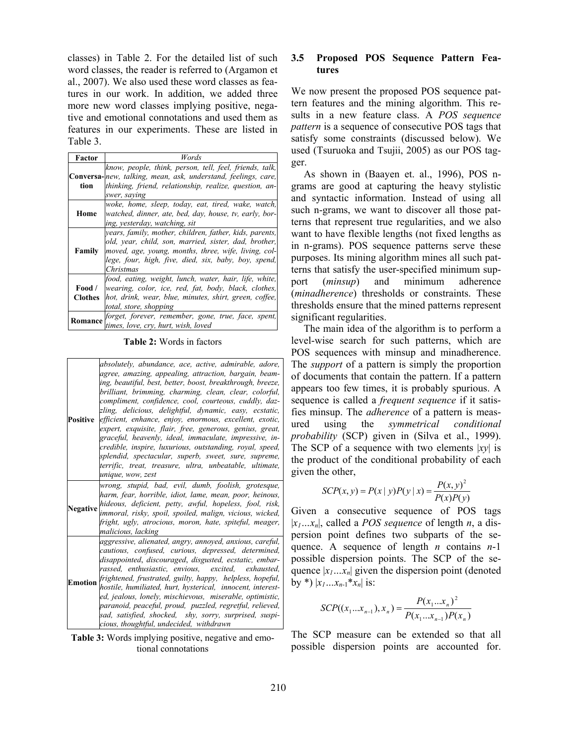classes) in Table 2. For the detailed list of such word classes, the reader is referred to (Argamon et al., 2007). We also used these word classes as features in our work. In addition, we added three more new word classes implying positive, negative and emotional connotations and used them as features in our experiments. These are listed in Table 3.

| Factor            | Words                                                                                                                                                                                                                                         |
|-------------------|-----------------------------------------------------------------------------------------------------------------------------------------------------------------------------------------------------------------------------------------------|
| tion              | know, people, think, person, tell, feel, friends, talk,<br><b>Conversa-</b> new, talking, mean, ask, understand, feelings, care,<br>thinking, friend, relationship, realize, question, an-<br>swer, saying                                    |
| Home              | woke, home, sleep, today, eat, tired, wake, watch,<br>watched, dinner, ate, bed, day, house, tv, early, bor-<br>ing, yesterday, watching, sit                                                                                                 |
| Family            | years, family, mother, children, father, kids, parents,<br>old, year, child, son, married, sister, dad, brother,<br>moved, age, young, months, three, wife, living, col-<br>lege, four, high, five, died, six, baby, boy, spend,<br>Christmas |
| Food /<br>Clothes | food, eating, weight, lunch, water, hair, life, white,<br>wearing, color, ice, red, fat, body, black, clothes,<br>hot, drink, wear, blue, minutes, shirt, green, coffee,<br>total, store, shopping                                            |
| Romance           | forget, forever, remember, gone, true, face, spent,<br>times, love, cry, hurt, wish, loved                                                                                                                                                    |

**Table 2:** Words in factors

|          | absolutely, abundance, ace, active, admirable, adore,<br>agree, amazing, appealing, attraction, bargain, beam-<br>ing, beautiful, best, better, boost, breakthrough, breeze,<br>brilliant, brimming, charming, clean, clear, colorful,<br>compliment, confidence, cool, courteous, cuddly, daz-<br>zling, delicious, delightful, dynamic, easy, ecstatic,<br>Positive efficient, enhance, enjoy, enormous, excellent, exotic,<br>expert, exquisite, flair, free, generous, genius, great,<br>graceful, heavenly, ideal, immaculate, impressive, in-<br>credible, inspire, luxurious, outstanding, royal, speed,<br>splendid, spectacular, superb, sweet, sure, supreme,<br>terrific, treat, treasure, ultra, unbeatable, ultimate,<br>unique, wow, zest |
|----------|---------------------------------------------------------------------------------------------------------------------------------------------------------------------------------------------------------------------------------------------------------------------------------------------------------------------------------------------------------------------------------------------------------------------------------------------------------------------------------------------------------------------------------------------------------------------------------------------------------------------------------------------------------------------------------------------------------------------------------------------------------|
| Negative | wrong, stupid, bad, evil, dumb, foolish, grotesque,<br>harm, fear, horrible, idiot, lame, mean, poor, heinous,<br>hideous, deficient, petty, awful, hopeless, fool, risk,<br>immoral, risky, spoil, spoiled, malign, vicious, wicked,<br>fright, ugly, atrocious, moron, hate, spiteful, meager,<br>malicious, lacking                                                                                                                                                                                                                                                                                                                                                                                                                                  |
| Emotion  | aggressive, alienated, angry, annoyed, anxious, careful,<br>cautious, confused, curious, depressed, determined,<br>disappointed, discouraged, disgusted, ecstatic, embar-<br>rassed, enthusiastic, envious, excited, exhausted,<br>frightened, frustrated, guilty, happy, helpless, hopeful,<br>hostile, humiliated, hurt, hysterical, innocent, interest-<br>ed, jealous, lonely, mischievous, miserable, optimistic,<br>paranoid, peaceful, proud, puzzled, regretful, relieved,<br>sad, satisfied, shocked, shy, sorry, surprised, suspi-<br>cious, thoughtful, undecided, withdrawn                                                                                                                                                                 |

**Table 3:** Words implying positive, negative and emotional connotations

### **3.5 Proposed POS Sequence Pattern Features**

We now present the proposed POS sequence pattern features and the mining algorithm. This results in a new feature class. A *POS sequence pattern* is a sequence of consecutive POS tags that satisfy some constraints (discussed below). We used (Tsuruoka and Tsujii, 2005) as our POS tagger.

As shown in (Baayen et. al., 1996), POS ngrams are good at capturing the heavy stylistic and syntactic information. Instead of using all such n-grams, we want to discover all those patterns that represent true regularities, and we also want to have flexible lengths (not fixed lengths as in n-grams). POS sequence patterns serve these purposes. Its mining algorithm mines all such patterns that satisfy the user-specified minimum support (*minsup*) and minimum adherence (*minadherence*) thresholds or constraints. These thresholds ensure that the mined patterns represent significant regularities.

The main idea of the algorithm is to perform a level-wise search for such patterns, which are POS sequences with minsup and minadherence. The *support* of a pattern is simply the proportion of documents that contain the pattern. If a pattern appears too few times, it is probably spurious. A sequence is called a *frequent sequence* if it satisfies minsup. The *adherence* of a pattern is measured using the *symmetrical conditional probability* (SCP) given in (Silva et al., 1999). The SCP of a sequence with two elements |*xy*| is the product of the conditional probability of each given the other,

$$
SCP(x, y) = P(x | y)P(y | x) = \frac{P(x, y)^{2}}{P(x)P(y)}
$$

Given a consecutive sequence of POS tags |*x1…xn*|, called a *POS sequence* of length *n*, a dispersion point defines two subparts of the sequence. A sequence of length *n* contains *n*-1 possible dispersion points. The SCP of the sequence  $|x_1...x_n|$  given the dispersion point (denoted by \*)  $|x_1...x_{n-1}*x_n|$  is:

$$
SCP((x_1...x_{n-1}),x_n) = \frac{P(x_1...x_n)^2}{P(x_1...x_{n-1})P(x_n)}
$$

The SCP measure can be extended so that all possible dispersion points are accounted for.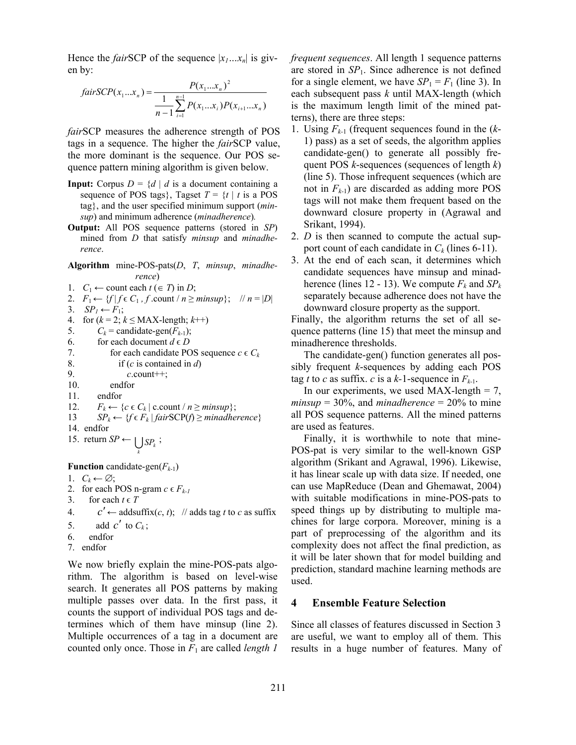Hence the *fair*SCP of the sequence  $|x_1...x_n|$  is given by:

$$
fairSCP(x_1...x_n) = \frac{P(x_1...x_n)^2}{\frac{1}{n-1}\sum_{i=1}^{n-1} P(x_1...x_i)P(x_{i+1}...x_n)}
$$

*fair*SCP measures the adherence strength of POS tags in a sequence. The higher the *fair*SCP value, the more dominant is the sequence. Our POS sequence pattern mining algorithm is given below.

- **Input:** Corpus  $D = \{d \mid d$  is a document containing a sequence of POS tags}, Tagset  $T = \{t \mid t \text{ is a POS}\}$ tag}, and the user specified minimum support (*minsup*) and minimum adherence (*minadherence*)*.*
- **Output:** All POS sequence patterns (stored in *SP*) mined from *D* that satisfy *minsup* and *minadherence*.

**Algorithm** mine-POS-pats(*D*, *T*, *minsup*, *minadherence*) 1. *C*<sub>1</sub> ← count each  $t$  (∈ *T*) in *D*; 2.  $F_1 \leftarrow \{f \mid f \in C_1, f \text{.count} \mid n \geq \text{minsup}\}; \quad \text{$n = |D|$}$ 

3.  $SP<sub>1</sub> \leftarrow F<sub>1</sub>$ ;

4. for  $(k = 2; k \leq MAX$ -length;  $k++)$ 5.  $C_k$  = candidate-gen( $F_{k-1}$ ); 6. for each document  $d \in D$ 7. for each candidate POS sequence  $c \in C_k$ 8. if (*c* is contained in *d*) 9. *c*.count++; 10. endfor 11. endfor 12.  $F_k \leftarrow \{c \in C_k \mid \text{c.count} / n \geq \text{minsup} \};$ 13  $SP_k \leftarrow \{f \in F_k \mid \text{fairSCP}(f) \ge \text{minadherence}\}$ 14. endfor 15. return  $SP \leftarrow \bigcup_k SP_k$ ; **Function** candidate-gen( $F_{k-1}$ )

1.  $C_k \leftarrow \emptyset;$ 

2. for each POS n-gram  $c \in F_{k-l}$ 

- 3. for each  $t \in T$
- 4. *c'*← addsuffix(*c*, *t*); // adds tag *t* to *c* as suffix
- 5. add  $c'$  to  $C_k$ ;
- 6. endfor
- 7. endfor

We now briefly explain the mine-POS-pats algorithm. The algorithm is based on level-wise search. It generates all POS patterns by making multiple passes over data. In the first pass, it counts the support of individual POS tags and determines which of them have minsup (line 2). Multiple occurrences of a tag in a document are counted only once. Those in *F*1 are called *length 1* 

*frequent sequences*. All length 1 sequence patterns are stored in  $SP<sub>1</sub>$ . Since adherence is not defined for a single element, we have  $SP_1 = F_1$  (line 3). In each subsequent pass *k* until MAX-length (which is the maximum length limit of the mined patterns), there are three steps:

- 1. Using *Fk-*1 (frequent sequences found in the (*k*-1) pass) as a set of seeds, the algorithm applies candidate-gen() to generate all possibly frequent POS *k*-sequences (sequences of length *k*) (line 5). Those infrequent sequences (which are not in *Fk-*1) are discarded as adding more POS tags will not make them frequent based on the downward closure property in (Agrawal and Srikant, 1994).
- 2. *D* is then scanned to compute the actual support count of each candidate in  $C_k$  (lines 6-11).
- 3. At the end of each scan, it determines which candidate sequences have minsup and minadherence (lines 12 - 13). We compute  $F_k$  and  $SP_k$ separately because adherence does not have the downward closure property as the support.

Finally, the algorithm returns the set of all sequence patterns (line 15) that meet the minsup and minadherence thresholds.

The candidate-gen() function generates all possibly frequent *k*-sequences by adding each POS tag *t* to *c* as suffix. *c* is a *k*-1-sequence in  $F_{k-1}$ .

In our experiments, we used MAX-length  $= 7$ ,  $minsup = 30\%$ , and *minadherence* = 20% to mine all POS sequence patterns. All the mined patterns are used as features.

Finally, it is worthwhile to note that mine-POS-pat is very similar to the well-known GSP algorithm (Srikant and Agrawal, 1996). Likewise, it has linear scale up with data size. If needed, one can use MapReduce (Dean and Ghemawat, 2004) with suitable modifications in mine-POS-pats to speed things up by distributing to multiple machines for large corpora. Moreover, mining is a part of preprocessing of the algorithm and its complexity does not affect the final prediction, as it will be later shown that for model building and prediction, standard machine learning methods are used.

### **4 Ensemble Feature Selection**

Since all classes of features discussed in Section 3 are useful, we want to employ all of them. This results in a huge number of features. Many of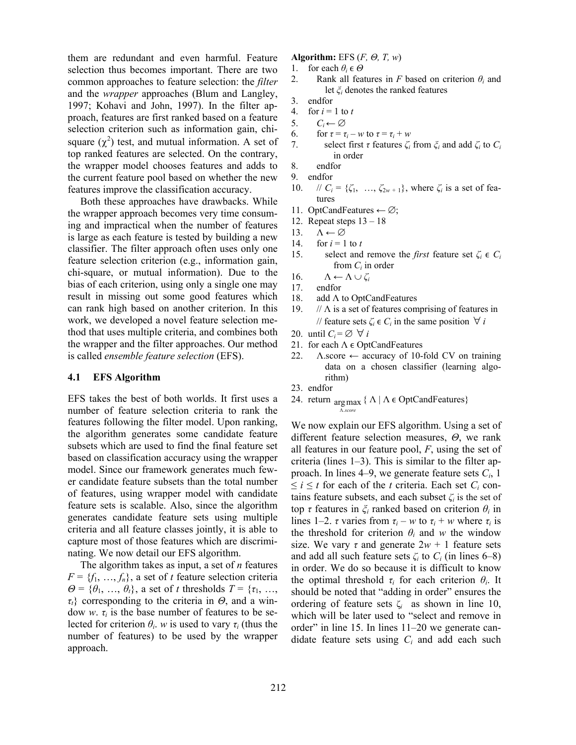them are redundant and even harmful. Feature selection thus becomes important. There are two common approaches to feature selection: the *filter* and the *wrapper* approaches (Blum and Langley, 1997; Kohavi and John, 1997). In the filter approach, features are first ranked based on a feature selection criterion such as information gain, chisquare  $(\chi^2)$  test, and mutual information. A set of top ranked features are selected. On the contrary, the wrapper model chooses features and adds to the current feature pool based on whether the new features improve the classification accuracy.

Both these approaches have drawbacks. While the wrapper approach becomes very time consuming and impractical when the number of features is large as each feature is tested by building a new classifier. The filter approach often uses only one feature selection criterion (e.g., information gain, chi-square, or mutual information). Due to the bias of each criterion, using only a single one may result in missing out some good features which can rank high based on another criterion. In this work, we developed a novel feature selection method that uses multiple criteria, and combines both the wrapper and the filter approaches. Our method is called *ensemble feature selection* (EFS).

#### **4.1 EFS Algorithm**

EFS takes the best of both worlds. It first uses a number of feature selection criteria to rank the features following the filter model. Upon ranking, the algorithm generates some candidate feature subsets which are used to find the final feature set based on classification accuracy using the wrapper model. Since our framework generates much fewer candidate feature subsets than the total number of features, using wrapper model with candidate feature sets is scalable. Also, since the algorithm generates candidate feature sets using multiple criteria and all feature classes jointly, it is able to capture most of those features which are discriminating. We now detail our EFS algorithm.

The algorithm takes as input, a set of *n* features  $F = \{f_1, \ldots, f_n\}$ , a set of *t* feature selection criteria  $\Theta = {\theta_1, ..., \theta_t}$ , a set of *t* thresholds  $T = {\tau_1, ..., \tau_t}$ *τt*} corresponding to the criteria in *Θ*, and a window *w*.  $\tau_i$  is the base number of features to be selected for criterion  $\theta_i$ . *w* is used to vary  $\tau_i$  (thus the number of features) to be used by the wrapper approach.

### **Algorithm:** EFS (*F, Θ, Τ, w*)

- 1. for each  $\theta_i \in \Theta$
- 2. Rank all features in *F* based on criterion  $\theta_i$  and let *ξi* denotes the ranked features
- 3. endfor
- 4. for  $i = 1$  to  $t$
- 5.  $C_i \leftarrow \emptyset$
- 6. for  $\tau = \tau_i w$  to  $\tau = \tau_i + w$ <br>7. select first  $\tau$  features  $\zeta_i$ 
	- 7. select first *τ* features *ζi* from *ξi* and add *ζi* to *Ci* in order
- 8. endfor
- 9. endfor
- 10. //  $C_i = {\zeta_1, ..., \zeta_{2w+1}}$ , where  $\zeta_i$  is a set of features
- 11. OptCandFeatures ← ∅;
- 12. Repeat steps 13 18
- 13.  $\Lambda \leftarrow \emptyset$
- 14. for  $i = 1$  to *t*
- 15. select and remove the *first* feature set  $\zeta_i \in C_i$ from *Ci* in order
- 16.  $\Lambda \leftarrow \Lambda \cup \zeta_i$
- 17. endfor
- 18. add Λ to OptCandFeatures
- 19.  $\pi$  //  $\Lambda$  is a set of features comprising of features in // feature sets  $\zeta_i \in C_i$  in the same position  $\forall i$
- 20. until  $C_i = \emptyset$   $\forall i$
- 21. for each  $\Lambda \in \text{OptCandFeatures}$
- 22.  $\Lambda$ .score ← accuracy of 10-fold CV on training data on a chosen classifier (learning algorithm)
- 23. endfor
- 24. return  $\arg \max \{ \Lambda \mid \Lambda \in \text{OptCandFeatures} \}$ .*score* Λ

We now explain our EFS algorithm. Using a set of different feature selection measures, *Θ*, we rank all features in our feature pool, *F*, using the set of criteria (lines 1–3). This is similar to the filter approach. In lines 4–9, we generate feature sets *Ci*, 1  $\leq i \leq t$  for each of the *t* criteria. Each set  $C_i$  contains feature subsets, and each subset  $\zeta$  is the set of top *τ* features in *ξi* ranked based on criterion *θi* in lines 1–2. *τ* varies from  $\tau_i - w$  to  $\tau_i + w$  where  $\tau_i$  is the threshold for criterion  $\theta_i$  and *w* the window size. We vary  $\tau$  and generate  $2w + 1$  feature sets and add all such feature sets  $\zeta_i$  to  $C_i$  (in lines 6–8) in order. We do so because it is difficult to know the optimal threshold  $\tau_i$  for each criterion  $\theta_i$ . It should be noted that "adding in order" ensures the ordering of feature sets  $\zeta_i$  as shown in line 10, which will be later used to "select and remove in order" in line 15. In lines 11–20 we generate candidate feature sets using *Ci* and add each such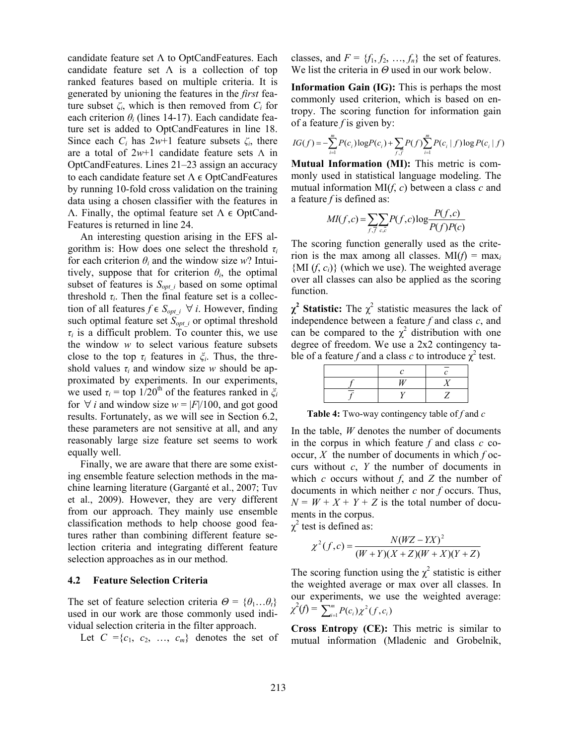candidate feature set  $\Lambda$  to OptCandFeatures. Each candidate feature set  $\Lambda$  is a collection of top ranked features based on multiple criteria. It is generated by unioning the features in the *first* feature subset  $\zeta_i$ , which is then removed from  $C_i$  for each criterion  $\theta_i$  (lines 14-17). Each candidate feature set is added to OptCandFeatures in line 18. Since each  $C_i$  has  $2w+1$  feature subsets  $\zeta_i$ , there are a total of 2*w*+1 candidate feature sets Λ in OptCandFeatures. Lines 21–23 assign an accuracy to each candidate feature set  $Λ ∈ OptC and Features$ by running 10-fold cross validation on the training data using a chosen classifier with the features in Λ. Finally, the optimal feature set  $Λ ∈ OptC$ and-Features is returned in line 24.

An interesting question arising in the EFS algorithm is: How does one select the threshold *τ<sup>i</sup>* for each criterion  $\theta_i$  and the window size *w*? Intuitively, suppose that for criterion  $\theta_i$ , the optimal subset of features is  $S_{opt}$  *i* based on some optimal threshold  $\tau_i$ . Then the final feature set is a collection of all features  $f \in S_{opt\_i}$   $\forall i$ . However, finding such optimal feature set  $S_{opt}$  *i* or optimal threshold  $\tau$ *i* is a difficult problem. To counter this, we use the window *w* to select various feature subsets close to the top *τi* features in *ξi*. Thus, the threshold values  $\tau_i$  and window size *w* should be approximated by experiments. In our experiments, we used  $\tau_i$  = top 1/20<sup>th</sup> of the features ranked in  $\zeta_i$ for  $\forall$  *i* and window size  $w = |F|/100$ , and got good results. Fortunately, as we will see in Section 6.2, these parameters are not sensitive at all, and any reasonably large size feature set seems to work equally well.

Finally, we are aware that there are some existing ensemble feature selection methods in the machine learning literature (Garganté et al., 2007; Tuv et al., 2009). However, they are very different from our approach. They mainly use ensemble classification methods to help choose good features rather than combining different feature selection criteria and integrating different feature selection approaches as in our method.

#### **4.2 Feature Selection Criteria**

The set of feature selection criteria  $\Theta = {\theta_1 \dots \theta_t}$ used in our work are those commonly used individual selection criteria in the filter approach.

Let  $C = \{c_1, c_2, ..., c_m\}$  denotes the set of

classes, and  $F = \{f_1, f_2, ..., f_n\}$  the set of features. We list the criteria in *Θ* used in our work below.

**Information Gain (IG):** This is perhaps the most commonly used criterion, which is based on entropy. The scoring function for information gain of a feature *f* is given by:

$$
IG(f) = -\sum_{i=1}^{m} P(c_i) \log P(c_i) + \sum_{f, f} P(f) \sum_{i=1}^{m} P(c_i | f) \log P(c_i | f)
$$

**Mutual Information (MI):** This metric is commonly used in statistical language modeling. The mutual information MI(*f*, *c*) between a class *c* and a feature *f* is defined as:

$$
MI(f, c) = \sum_{f, \bar{f}} \sum_{c, \bar{c}} P(f, c) \log \frac{P(f, c)}{P(f)P(c)}
$$

The scoring function generally used as the criterion is the max among all classes.  $MI(f) = max<sub>i</sub>$  ${ML}(f, c_i)$  (which we use). The weighted average over all classes can also be applied as the scoring function.

 $\chi^2$  **Statistic:** The  $\chi^2$  statistic measures the lack of independence between a feature *f* and class *c*, and can be compared to the  $\chi^2$  distribution with one degree of freedom. We use a 2x2 contingency table of a feature f and a class c to introduce  $\chi^2$  test.

**Table 4:** Two-way contingency table of *f* and *c*

In the table, *W* denotes the number of documents in the corpus in which feature *f* and class *c* cooccur, *X* the number of documents in which *f* occurs without *c*, *Y* the number of documents in which *c* occurs without *f*, and *Z* the number of documents in which neither *c* nor *f* occurs. Thus,  $N = W + X + Y + Z$  is the total number of documents in the corpus.

 $\chi^2$  test is defined as:

$$
\chi^{2}(f,c) = \frac{N(WZ - YX)^{2}}{(W+Y)(X+Z)(W+X)(Y+Z)}
$$

The scoring function using the  $\chi^2$  statistic is either the weighted average or max over all classes. In our experiments, we use the weighted average:  $\chi^2(f) = \sum_{i=1}^m P(c_i) \chi^2(f, c_i)$ 

**Cross Entropy (CE):** This metric is similar to mutual information (Mladenic and Grobelnik,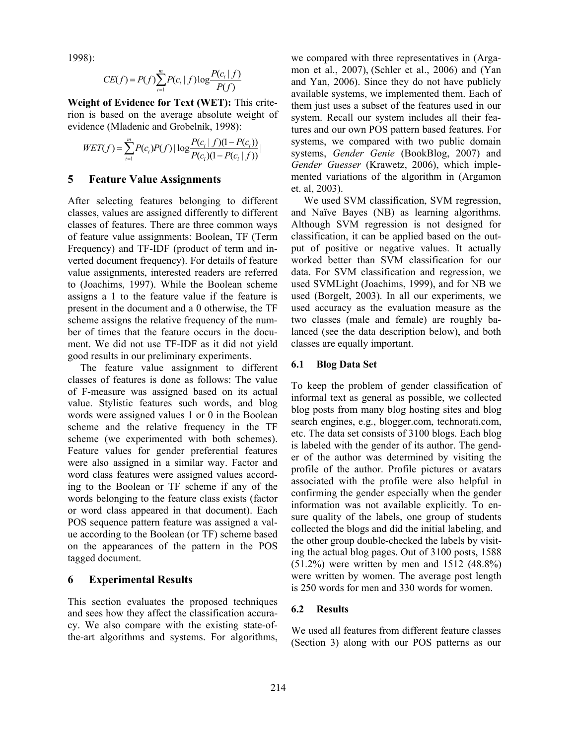1998):

$$
CE(f) = P(f) \sum_{i=1}^{m} P(c_i | f) \log \frac{P(c_i | f)}{P(f)}
$$

**Weight of Evidence for Text (WET):** This criterion is based on the average absolute weight of evidence (Mladenic and Grobelnik, 1998):

$$
WET(f) = \sum_{i=1}^{m} P(c_i)P(f) | \log \frac{P(c_i | f)(1 - P(c_i))}{P(c_i)(1 - P(c_i | f))} |
$$

### **5 Feature Value Assignments**

After selecting features belonging to different classes, values are assigned differently to different classes of features. There are three common ways of feature value assignments: Boolean, TF (Term Frequency) and TF-IDF (product of term and inverted document frequency). For details of feature value assignments, interested readers are referred to (Joachims, 1997). While the Boolean scheme assigns a 1 to the feature value if the feature is present in the document and a 0 otherwise, the TF scheme assigns the relative frequency of the number of times that the feature occurs in the document. We did not use TF-IDF as it did not yield good results in our preliminary experiments.

The feature value assignment to different classes of features is done as follows: The value of F-measure was assigned based on its actual value. Stylistic features such words, and blog words were assigned values 1 or 0 in the Boolean scheme and the relative frequency in the TF scheme (we experimented with both schemes). Feature values for gender preferential features were also assigned in a similar way. Factor and word class features were assigned values according to the Boolean or TF scheme if any of the words belonging to the feature class exists (factor or word class appeared in that document). Each POS sequence pattern feature was assigned a value according to the Boolean (or TF) scheme based on the appearances of the pattern in the POS tagged document.

### **6 Experimental Results**

This section evaluates the proposed techniques and sees how they affect the classification accuracy. We also compare with the existing state-ofthe-art algorithms and systems. For algorithms, we compared with three representatives in (Argamon et al., 2007), (Schler et al., 2006) and (Yan and Yan, 2006). Since they do not have publicly available systems, we implemented them. Each of them just uses a subset of the features used in our system. Recall our system includes all their features and our own POS pattern based features. For systems, we compared with two public domain systems, *Gender Genie* (BookBlog, 2007) and *Gender Guesser* (Krawetz, 2006), which implemented variations of the algorithm in (Argamon et. al, 2003).

We used SVM classification, SVM regression, and Naïve Bayes (NB) as learning algorithms. Although SVM regression is not designed for classification, it can be applied based on the output of positive or negative values. It actually worked better than SVM classification for our data. For SVM classification and regression, we used SVMLight (Joachims, 1999), and for NB we used (Borgelt, 2003). In all our experiments, we used accuracy as the evaluation measure as the two classes (male and female) are roughly balanced (see the data description below), and both classes are equally important.

#### **6.1 Blog Data Set**

To keep the problem of gender classification of informal text as general as possible, we collected blog posts from many blog hosting sites and blog search engines, e.g., blogger.com, technorati.com, etc. The data set consists of 3100 blogs. Each blog is labeled with the gender of its author. The gender of the author was determined by visiting the profile of the author. Profile pictures or avatars associated with the profile were also helpful in confirming the gender especially when the gender information was not available explicitly. To ensure quality of the labels, one group of students collected the blogs and did the initial labeling, and the other group double-checked the labels by visiting the actual blog pages. Out of 3100 posts, 1588 (51.2%) were written by men and 1512 (48.8%) were written by women. The average post length is 250 words for men and 330 words for women.

### **6.2 Results**

We used all features from different feature classes (Section 3) along with our POS patterns as our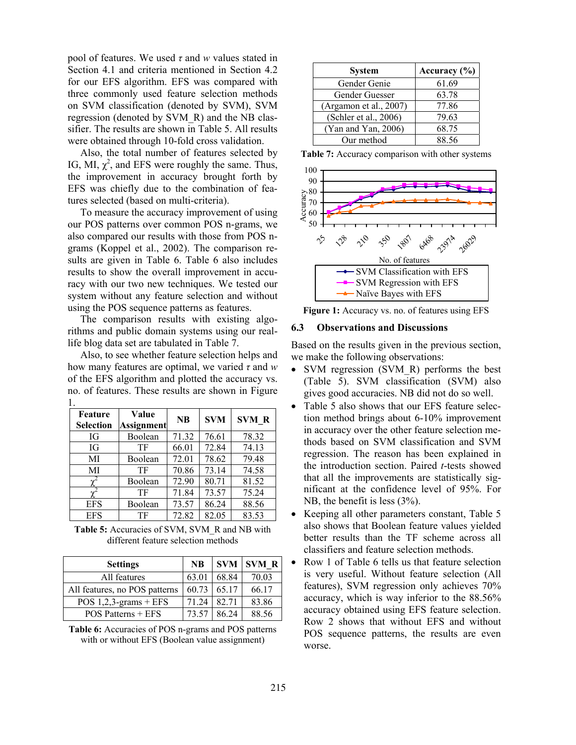pool of features. We used *τ* and *w* values stated in Section 4.1 and criteria mentioned in Section 4.2 for our EFS algorithm. EFS was compared with three commonly used feature selection methods on SVM classification (denoted by SVM), SVM regression (denoted by SVM\_R) and the NB classifier. The results are shown in Table 5. All results were obtained through 10-fold cross validation.

Also, the total number of features selected by IG, MI,  $\chi^2$ , and EFS were roughly the same. Thus, the improvement in accuracy brought forth by EFS was chiefly due to the combination of features selected (based on multi-criteria).

To measure the accuracy improvement of using our POS patterns over common POS n-grams, we also compared our results with those from POS ngrams (Koppel et al., 2002). The comparison results are given in Table 6. Table 6 also includes results to show the overall improvement in accuracy with our two new techniques. We tested our system without any feature selection and without using the POS sequence patterns as features.

The comparison results with existing algorithms and public domain systems using our reallife blog data set are tabulated in Table 7.

Also, to see whether feature selection helps and how many features are optimal, we varied *τ* and *w* of the EFS algorithm and plotted the accuracy vs. no. of features. These results are shown in Figure 1.

| Feature<br><b>Selection</b> | Value<br><b>Assignment</b> | <b>NB</b> | <b>SVM</b> | <b>SVM R</b> |
|-----------------------------|----------------------------|-----------|------------|--------------|
| IG                          | Boolean                    | 71.32     | 76.61      | 78.32        |
| IG                          | TF                         | 66.01     | 72.84      | 74.13        |
| МI                          | Boolean                    | 72.01     | 78.62      | 79.48        |
| MI                          | TF                         | 70.86     | 73.14      | 74.58        |
|                             | Boolean                    | 72.90     | 80.71      | 81.52        |
|                             | TF                         | 71.84     | 73.57      | 75.24        |
| <b>EFS</b>                  | Boolean                    | 73.57     | 86.24      | 88.56        |
| <b>EFS</b>                  | TF                         | 72.82     | 82.05      | 83.53        |

**Table 5:** Accuracies of SVM, SVM\_R and NB with different feature selection methods

| <b>Settings</b>               | <b>NB</b> |       | <b>SVM SVM R</b> |
|-------------------------------|-----------|-------|------------------|
| All features                  | 63.01     | 68.84 | 70.03            |
| All features, no POS patterns | 60.73     | 65.17 | 66.17            |
| POS $1,2,3$ -grams + EFS      | 71.24     | 82.71 | 83.86            |
| POS Patterns + EFS            | 73.57     | 86.24 | 88.56            |

**Table 6:** Accuracies of POS n-grams and POS patterns with or without EFS (Boolean value assignment)

| <b>System</b>          | Accuracy $(\% )$ |
|------------------------|------------------|
| Gender Genie           | 61.69            |
| Gender Guesser         | 63.78            |
| (Argamon et al., 2007) | 77.86            |
| (Schler et al., 2006)  | 79.63            |
| (Yan and Yan, 2006)    | 68.75            |
| Our method             | 88.56            |

**Table 7:** Accuracy comparison with other systems



**Figure 1:** Accuracy vs. no. of features using EFS

### **6.3 Observations and Discussions**

Based on the results given in the previous section, we make the following observations:

- SVM regression (SVM R) performs the best (Table 5). SVM classification (SVM) also gives good accuracies. NB did not do so well.
- Table 5 also shows that our EFS feature selection method brings about 6-10% improvement in accuracy over the other feature selection methods based on SVM classification and SVM regression. The reason has been explained in the introduction section. Paired *t*-tests showed that all the improvements are statistically significant at the confidence level of 95%. For NB, the benefit is less  $(3\%)$ .
- Keeping all other parameters constant, Table 5 also shows that Boolean feature values yielded better results than the TF scheme across all classifiers and feature selection methods.
- Row 1 of Table 6 tells us that feature selection is very useful. Without feature selection (All features), SVM regression only achieves 70% accuracy, which is way inferior to the 88.56% accuracy obtained using EFS feature selection. Row 2 shows that without EFS and without POS sequence patterns, the results are even worse.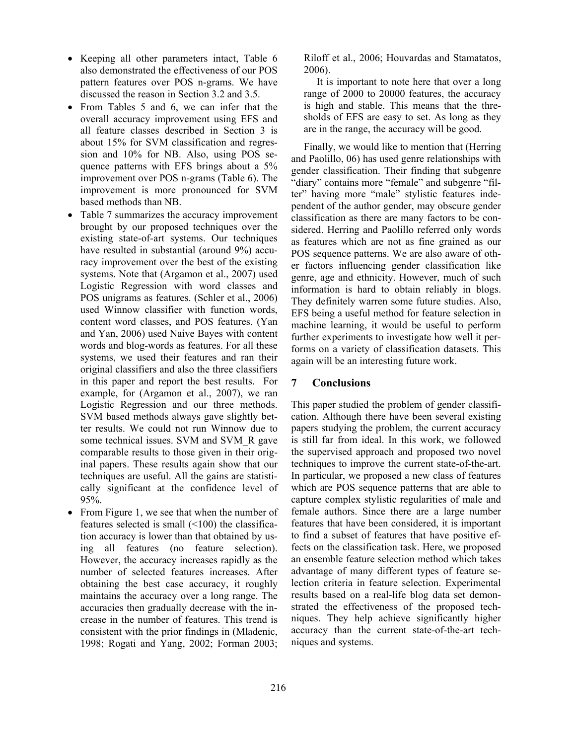- Keeping all other parameters intact, Table 6 also demonstrated the effectiveness of our POS pattern features over POS n-grams. We have discussed the reason in Section 3.2 and 3.5.
- From Tables 5 and 6, we can infer that the overall accuracy improvement using EFS and all feature classes described in Section 3 is about 15% for SVM classification and regression and 10% for NB. Also, using POS sequence patterns with EFS brings about a 5% improvement over POS n-grams (Table 6). The improvement is more pronounced for SVM based methods than NB.
- Table 7 summarizes the accuracy improvement brought by our proposed techniques over the existing state-of-art systems. Our techniques have resulted in substantial (around 9%) accuracy improvement over the best of the existing systems. Note that (Argamon et al., 2007) used Logistic Regression with word classes and POS unigrams as features. (Schler et al., 2006) used Winnow classifier with function words, content word classes, and POS features. (Yan and Yan, 2006) used Naive Bayes with content words and blog-words as features. For all these systems, we used their features and ran their original classifiers and also the three classifiers in this paper and report the best results. For example, for (Argamon et al., 2007), we ran Logistic Regression and our three methods. SVM based methods always gave slightly better results. We could not run Winnow due to some technical issues. SVM and SVM\_R gave comparable results to those given in their original papers. These results again show that our techniques are useful. All the gains are statistically significant at the confidence level of 95%.
- From Figure 1, we see that when the number of features selected is small  $($ <100) the classification accuracy is lower than that obtained by using all features (no feature selection). However, the accuracy increases rapidly as the number of selected features increases. After obtaining the best case accuracy, it roughly maintains the accuracy over a long range. The accuracies then gradually decrease with the increase in the number of features. This trend is consistent with the prior findings in (Mladenic, 1998; Rogati and Yang, 2002; Forman 2003;

Riloff et al., 2006; Houvardas and Stamatatos, 2006).

It is important to note here that over a long range of 2000 to 20000 features, the accuracy is high and stable. This means that the thresholds of EFS are easy to set. As long as they are in the range, the accuracy will be good.

Finally, we would like to mention that (Herring and Paolillo, 06) has used genre relationships with gender classification. Their finding that subgenre "diary" contains more "female" and subgenre "filter" having more "male" stylistic features independent of the author gender, may obscure gender classification as there are many factors to be considered. Herring and Paolillo referred only words as features which are not as fine grained as our POS sequence patterns. We are also aware of other factors influencing gender classification like genre, age and ethnicity. However, much of such information is hard to obtain reliably in blogs. They definitely warren some future studies. Also, EFS being a useful method for feature selection in machine learning, it would be useful to perform further experiments to investigate how well it performs on a variety of classification datasets. This again will be an interesting future work.

# **7 Conclusions**

This paper studied the problem of gender classification. Although there have been several existing papers studying the problem, the current accuracy is still far from ideal. In this work, we followed the supervised approach and proposed two novel techniques to improve the current state-of-the-art. In particular, we proposed a new class of features which are POS sequence patterns that are able to capture complex stylistic regularities of male and female authors. Since there are a large number features that have been considered, it is important to find a subset of features that have positive effects on the classification task. Here, we proposed an ensemble feature selection method which takes advantage of many different types of feature selection criteria in feature selection. Experimental results based on a real-life blog data set demonstrated the effectiveness of the proposed techniques. They help achieve significantly higher accuracy than the current state-of-the-art techniques and systems.